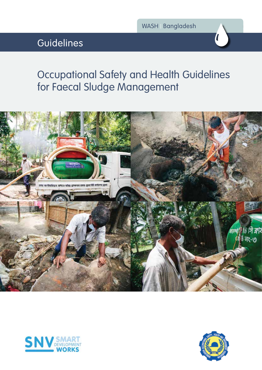# Guidelines



# Occupational Safety and Health Guidelines for Faecal Sludge Management





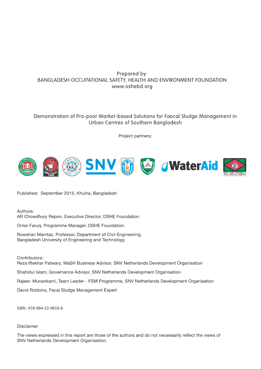### Prepared by: BANGLADESH OCCUPATIONAL SAFETY, HEALTH AND ENVIRONMENT FOUNDATION www.oshebd.org

### Demonstration of Pro-poor Market-based Solutions for Faecal Sludge Management in Urban Centres of Southern Bangladesh

Project partners:



Published: September 2015, Khulna, Bangladesh

Authors:

AR Chowdhury Repon, Executive Director, OSHE Foundation

Omar Faruq, Programme Manager, OSHE Foundation

Rowshan Mamtaz, Professor, Department of Civil Engineering, Bangladesh University of Engineering and Technology

Contributors:

Reza Iftekhar Patwary, WaSH Business Advisor, SNV Netherlands Development Organisation

Shahidul Islam, Governance Advisor, SNV Netherlands Development Organisation

Rajeev Munankami, Team Leader - FSM Programme, SNV Netherlands Development Organisation

David Robbins, Fecal Sludge Management Expert

ISBN: 978-984-33-9859-8

#### Disclaimer

The views expressed in this report are those of the authors and do not necessarily reflect the views of SNV Netherlands Development Organisation.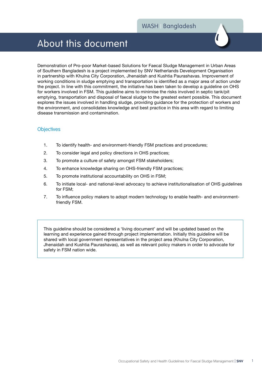## About this document

Demonstration of Pro-poor Market-based Solutions for Faecal Sludge Management in Urban Areas of Southern Bangladesh is a project implemented by SNV Netherlands Development Organisation in partnership with Khulna City Corporation, Jhenaidah and Kushtia Paurashavas. Improvement of working conditions in sludge emptying and transportation is identified as a major area of action under the project. In line with this commitment, the initiative has been taken to develop a guideline on OHS for workers involved in FSM. This guideline aims to minimise the risks involved in septic tank/pit emptying, transportation and disposal of faecal sludge to the greatest extent possible. This document explores the issues involved in handling sludge, providing guidance for the protection of workers and the environment, and consolidates knowledge and best practice in this area with regard to limiting disease transmission and contamination.

#### **Objectives**

- 1. To identify health- and environment-friendly FSM practices and procedures;
- 2. To consider legal and policy directions in OHS practices;
- 3. To promote a culture of safety amongst FSM stakeholders;
- 4. To enhance knowledge sharing on OHS-friendly FSM practices;
- 5. To promote institutional accountability on OHS in FSM;
- 6. To initiate local- and national-level advocacy to achieve institutionalisation of OHS guidelines for FSM;
- 7. To influence policy makers to adopt modern technology to enable health- and environmentfriendly FSM.

This guideline should be considered a 'living document' and will be updated based on the learning and experience gained through project implementation. Initially this guideline will be shared with local government representatives in the project area (Khulna City Corporation, Jhenaidah and Kushtia Paurashavas), as well as relevant policy makers in order to advocate for safety in FSM nation wide.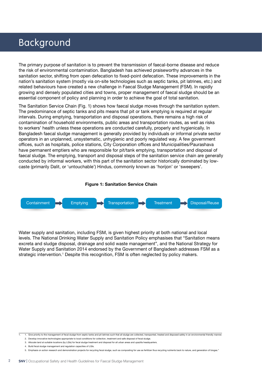### Background

The primary purpose of sanitation is to prevent the transmission of faecal-borne disease and reduce the risk of environmental contamination. Bangladesh has achieved praiseworthy advances in the sanitation sector, shifting from open defecation to fixed-point defecation. These improvements in the nation's sanitation system (mostly via on-site technologies such as septic tanks, pit latrines, etc.) and related behaviours have created a new challenge in Faecal Sludge Management (FSM). In rapidly growing and densely populated cities and towns, proper management of faecal sludge should be an essential component of policy and planning in order to achieve the goal of total sanitation.

The Sanitation Service Chain (Fig. 1) shows how faecal sludge moves through the sanitation system. The predominance of septic tanks and pits means that pit or tank emptying is required at regular intervals. During emptying, transportation and disposal operations, there remains a high risk of contamination of household environments, public areas and transportation routes, as well as risks to workers' health unless these operations are conducted carefully, properly and hygienically. In Bangladesh faecal sludge management is generally provided by individuals or informal private sector operators in an unplanned, unsystematic, unhygienic and poorly regulated way. A few government offices, such as hospitals, police stations, City Corporation offices and Municipalities/Paurashava have permanent emptiers who are responsible for pit/tank emptying, transportation and disposal of faecal sludge. The emptying, transport and disposal steps of the sanitation service chain are generally conducted by informal workers, with this part of the sanitation sector historically dominated by lowcaste (primarily Dalit, or 'untouchable') Hindus, commonly known as 'horijon' or 'sweepers'.



Water supply and sanitation, including FSM, is given highest priority at both national and local levels. The National Drinking Water Supply and Sanitation Policy emphasises that "Sanitation means excreta and sludge disposal, drainage and solid waste management", and the National Strategy for Water Supply and Sanitation 2014 endorsed by the Government of Bangladesh addresses FSM as a strategic intervention.<sup>1</sup> Despite this recognition, FSM is often neglected by policy makers.

<sup>1.</sup> 1. Give priority to the management of fecal sludge from septic tanks and pit latrines such that all sludge are collected, transported, treated and disposed safely in an environmental friendly manner.

<sup>2.</sup> Develop innovative technologies appropriate to local conditions for collection, treatment and safe disposal of fecal sludge.

<sup>3.</sup> Allocate land at suitable locations (by LGIs) for fecal sludge treatment and disposal for all urban areas and upazilla headquarters.

<sup>4.</sup> Build fecal sludge management and regulation capacities of LGIs.

<sup>5.</sup> Emphasis on action research and demonstration projects for recycling fecal sludge, such as composting for use as fertilizer thus recycling nutrients back to nature, and generation of biogas."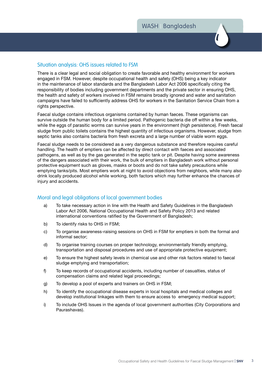#### Situation analysis: OHS issues related to FSM

There is a clear legal and social obligation to create favorable and healthy environment for workers engaged in FSM. However, despite occupational health and safety (OHS) being a key indicator in the maintenance of labor standards and the Bangladesh Labor Act 2006 specifically citing the responsibility of bodies including government departments and the private sector in ensuring OHS, the health and safety of workers involved in FSM remains broadly ignored and water and sanitation campaigns have failed to sufficiently address OHS for workers in the Sanitation Service Chain from a rights perspective.

Faecal sludge contains infectious organisms contained by human faeces. These organisms can survive outside the human body for a limited period. Pathogenic bacteria die off within a few weeks, while the eggs of parasitic worms can survive years in the environment (high persistence). Fresh faecal sludge from public toilets contains the highest quantity of infectious organisms. However, sludge from septic tanks also contains bacteria from fresh excreta and a large number of viable worm eggs.

Faecal sludge needs to be considered as a very dangerous substance and therefore requires careful handling. The health of emptiers can be affected by direct contact with faeces and associated pathogens, as well as by the gas generated in the septic tank or pit. Despite having some awareness of the dangers associated with their work, the bulk of emptiers in Bangladesh work without personal protective equipment such as gloves, masks or boots and do not take safety precautions while emptying tanks/pits. Most emptiers work at night to avoid objections from neighbors, while many also drink locally produced alcohol while working, both factors which may further enhance the chances of injury and accidents.

#### Moral and legal obligations of local government bodies

- a) To take necessary action in line with the Health and Safety Guidelines in the Bangladesh Labor Act 2006, National Occupational Health and Safety Policy 2013 and related international conventions ratified by the Government of Bangladesh;
- b) To identify risks to OHS in FSM;
- c) To organise awareness-raising sessions on OHS in FSM for emptiers in both the formal and informal sector;
- d) To organise training courses on proper technology, environmentally friendly emptying, transportation and disposal procedures and use of appropriate protective equipment;
- e) To ensure the highest safety levels in chemical use and other risk factors related to faecal sludge emptying and transportation;
- f) To keep records of occupational accidents, including number of casualties, status of compensation claims and related legal proceedings;
- g) To develop a pool of experts and trainers on OHS in FSM;
- h) To identify the occupational disease experts in local hospitals and medical colleges and develop institutional linkages with them to ensure access to emergency medical support;
- i) To include OHS Issues in the agenda of local government authorities (City Corporations and Paurashavas).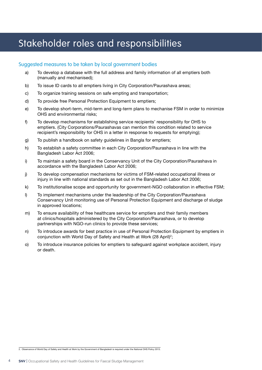# Stakeholder roles and responsibilities

#### Suggested measures to be taken by local government bodies

- a) To develop a database with the full address and family information of all emptiers both (manually and mechanised);
- b) To issue ID cards to all emptiers living in City Corporation/Paurashava areas;
- c) To organize training sessions on safe empting and transportation;
- d) To provide free Personal Protection Equipment to emptiers;
- e) To develop short-term, mid-term and long-term plans to mechanise FSM in order to minimize OHS and environmental risks;
- f) To develop mechanisms for establishing service recipients' responsibility for OHS to emptiers. (City Corporations/Paurashavas can mention this condition related to service recipient's responsibility for OHS in a letter in response to requests for emptying);
- g) To publish a handbook on safety guidelines in Bangla for emptiers;
- h) To establish a safety committee in each City Corporation/Paurashava in line with the Bangladesh Labor Act 2006;
- i) To maintain a safety board in the Conservancy Unit of the City Corporation/Paurashava in accordance with the Bangladesh Labor Act 2006;
- j) To develop compensation mechanisms for victims of FSM-related occupational illness or injury in line with national standards as set out in the Bangladesh Labor Act 2006;
- k) To institutionalise scope and opportunity for government-NGO collaboration in effective FSM;
- l) To implement mechanisms under the leadership of the City Corporation/Paurashava Conservancy Unit monitoring use of Personal Protection Equipment and discharge of sludge in approved locations;
- m) To ensure availability of free healthcare service for emptiers and their family members at clinics/hospitals administered by the City Corporation/Paurashava, or to develop partnerships with NGO-run clinics to provide these services;
- n) To introduce awards for best practice in use of Personal Protection Equipment by emptiers in conjunction with World Day of Safety and Health at Work (28 April) $^2$ ;
- o) To introduce insurance policies for emptiers to safeguard against workplace accident, injury or death.

2. Observance of World Day of Safety and Health at Work by the Government of Bangladesh is required under the National OHS Policy 2013.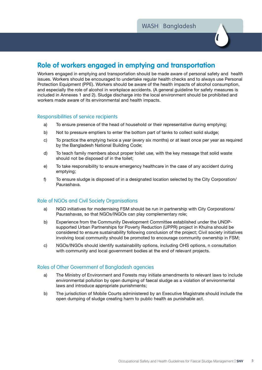### **Role of workers engaged in emptying and transportation**

Workers engaged in emptying and transportation should be made aware of personal safety and health issues. Workers should be encouraged to undertake regular health checks and to always use Personal Protection Equipment (PPE). Workers should be aware of the health impacts of alcohol consumption, and especially the role of alcohol in workplace accidents. (A general guideline for safety measures is included in Annexes 1 and 2). Sludge discharge into the local environment should be prohibited and workers made aware of its environmental and health impacts.

#### Responsibilities of service recipients

- a) To ensure presence of the head of household or their representative during emptying;
- b) Not to pressure emptiers to enter the bottom part of tanks to collect solid sludge;
- c) To practice the emptying twice a year (every six months) or at least once per year as required by the Bangladesh National Building Code;
- d) To teach family members about proper toilet use, with the key message that solid waste should not be disposed of in the toilet;
- e) To take responsibility to ensure emergency healthcare in the case of any accident during emptying;
- f) To ensure sludge is disposed of in a designated location selected by the City Corporation/ Paurashava.

#### Role of NGOs and Civil Society Organisations

- a) NGO initiatives for modernising FSM should be run in partnership with City Corporations/ Paurashavas, so that NGOs/INGOs can play complementary role;
- b) Experience from the Community Development Committee established under the UNDPsupported Urban Partnerships for Poverty Reduction (UPPR) project in Khulna should be considered to ensure sustainability following conclusion of the project; Civil society initiatives involving local community should be promoted to encourage community ownership in FSM;
- c) NGOs/INGOs should identify sustainability options, including OHS options, n consultation with community and local government bodies at the end of relevant projects.

#### Roles of Other Government of Bangladesh agencies

- a) The Ministry of Environment and Forests may initiate amendments to relevant laws to include environmental pollution by open dumping of faecal sludge as a violation of environmental laws and introduce appropriate punishments;
- b) The jurisdiction of Mobile Courts administered by an Executive Magistrate should include the open dumping of sludge creating harm to public health as punishable act.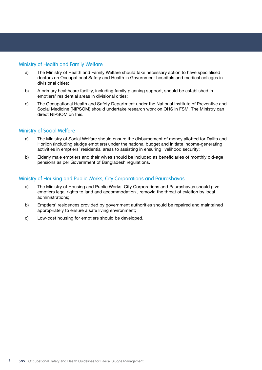#### Ministry of Health and Family Welfare

- a) The Ministry of Health and Family Welfare should take necessary action to have specialised doctors on Occupational Safety and Health in Government hospitals and medical colleges in divisional cities;
- b) A primary healthcare facility, including family planning support, should be established in emptiers' residential areas in divisional cities;
- c) The Occupational Health and Safety Department under the National Institute of Preventive and Social Medicine (NIPSOM) should undertake research work on OHS in FSM. The Ministry can direct NIPSOM on this.

#### Ministry of Social Welfare

- a) The Ministry of Social Welfare should ensure the disbursement of money allotted for Dalits and Horijon (including sludge emptiers) under the national budget and initiate income-generating activities in emptiers' residential areas to assisting in ensuring livelihood security;
- b) Elderly male emptiers and their wives should be included as beneficiaries of monthly old-age pensions as per Government of Bangladesh regulations.

#### Ministry of Housing and Public Works, City Corporations and Paurashavas

- a) The Ministry of Housing and Public Works, City Corporations and Paurashavas should give emptiers legal rights to land and accommodation , removig the threat of eviction by local administrations;
- b) Emptiers' residences provided by government authorities should be repaired and maintained appropriately to ensure a safe living environment;
- c) Low-cost housing for emptiers should be developed.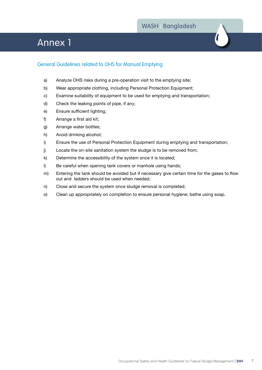### Annex 1



### General Guidelines related to OHS for Manual Emptying

- a) Analyze OHS risks during a pre-operation visit to the emptying site;
- b) Wear appropriate clothing, including Personal Protection Equipment;
- c) Examine suitability of equipment to be used for emptying and transportation;
- d) Check the leaking points of pipe, if any;
- e) Ensure sufficient lighting;
- f) Arrange a first aid kit;
- g) Arrange water bottles;
- h) Avoid drinking alcohol;
- i) Ensure the use of Personal Protection Equipment during emptying and transportation;
- j) Locate the on-site sanitation system the sludge is to be removed from;
- k) Determine the accessibility of the system once it is located;
- l) Be careful when opening tank covers or manhole using hands;
- m) Entering the tank should be avoided but if necessary give certain time for the gases to flow out and ladders should be used when needed;
- n) Close and secure the system once sludge removal is completed;
- o) Clean up appropriately on completion to ensure personal hygiene; bathe using soap.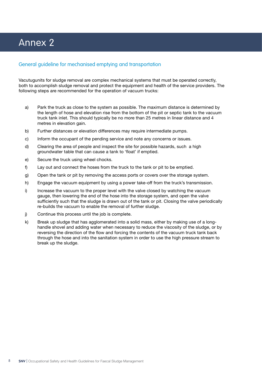# Annex 2

#### General guideline for mechanised emptying and transportation

Vacutugunits for sludge removal are complex mechanical systems that must be operated correctly, both to accomplish sludge removal and protect the equipment and health of the service providers. The following steps are recommended for the operation of vacuum trucks:

- a) Park the truck as close to the system as possible. The maximum distance is determined by the length of hose and elevation rise from the bottom of the pit or septic tank to the vacuum truck tank inlet. This should typically be no more than 25 metres in linear distance and 4 metres in elevation gain.
- b) Further distances or elevation differences may require intermediate pumps.
- c) Inform the occupant of the pending service and note any concerns or issues.
- d) Clearing the area of people and inspect the site for possible hazards, such a high groundwater table that can cause a tank to 'float' if emptied.
- e) Secure the truck using wheel chocks.
- f) Lay out and connect the hoses from the truck to the tank or pit to be emptied.
- g) Open the tank or pit by removing the access ports or covers over the storage system.
- h) Engage the vacuum equipment by using a power take-off from the truck's transmission.
- i) Increase the vacuum to the proper level with the valve closed by watching the vacuum gauge, then lowering the end of the hose into the storage system, and open the valve sufficiently such that the sludge is drawn out of the tank or pit. Closing the valve periodically re-builds the vacuum to enable the removal of further sludge.
- j) Continue this process until the job is complete.
- k) Break up sludge that has agglomerated into a solid mass, either by making use of a longhandle shovel and adding water when necessary to reduce the viscosity of the sludge, or by reversing the direction of the flow and forcing the contents of the vacuum truck tank back through the hose and into the sanitation system in order to use the high pressure stream to break up the sludge.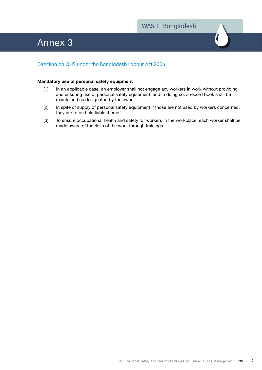### Annex 3

### Direction on OHS under the Bangladesh Labour Act 2006

#### **Mandatory use of personal safety equipment**

- (1) In an applicable case, an employer shall not engage any workers in work without providing and ensuring use of personal safety equipment, and in doing so, a record book shall be maintained as designated by the owner.
- (2) In spite of supply of personal safety equipment if those are not used by workers concerned, they are to be held liable thereof.
- (3) To ensure occupational health and safety for workers in the workplace, each worker shall be made aware of the risks of the work through trainings.